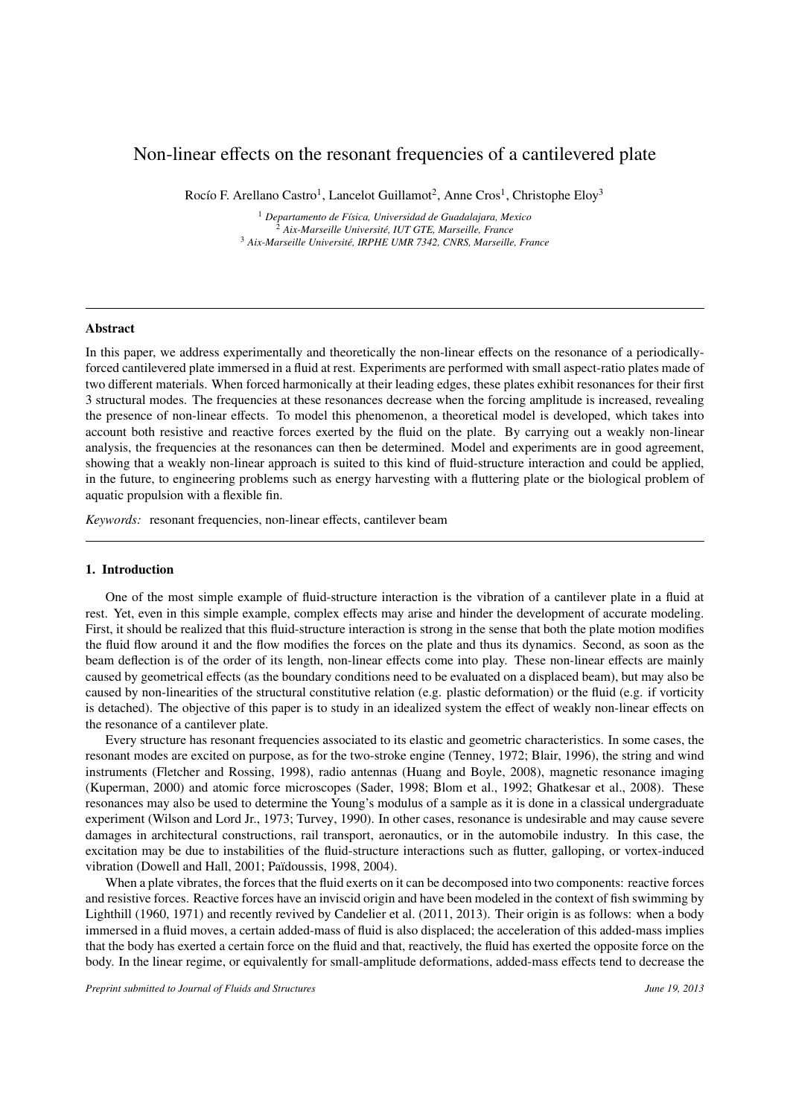# Non-linear effects on the resonant frequencies of a cantilevered plate

Rocío F. Arellano Castro<sup>1</sup>, Lancelot Guillamot<sup>2</sup>, Anne Cros<sup>1</sup>, Christophe Eloy<sup>3</sup>

<sup>1</sup> *Departamento de F´ısica, Universidad de Guadalajara, Mexico* <sup>2</sup> *Aix-Marseille Universit´e, IUT GTE, Marseille, France* <sup>3</sup> *Aix-Marseille Universit´e, IRPHE UMR 7342, CNRS, Marseille, France*

# Abstract

In this paper, we address experimentally and theoretically the non-linear effects on the resonance of a periodicallyforced cantilevered plate immersed in a fluid at rest. Experiments are performed with small aspect-ratio plates made of two different materials. When forced harmonically at their leading edges, these plates exhibit resonances for their first 3 structural modes. The frequencies at these resonances decrease when the forcing amplitude is increased, revealing the presence of non-linear effects. To model this phenomenon, a theoretical model is developed, which takes into account both resistive and reactive forces exerted by the fluid on the plate. By carrying out a weakly non-linear analysis, the frequencies at the resonances can then be determined. Model and experiments are in good agreement, showing that a weakly non-linear approach is suited to this kind of fluid-structure interaction and could be applied, in the future, to engineering problems such as energy harvesting with a fluttering plate or the biological problem of aquatic propulsion with a flexible fin.

*Keywords:* resonant frequencies, non-linear effects, cantilever beam

#### 1. Introduction

One of the most simple example of fluid-structure interaction is the vibration of a cantilever plate in a fluid at rest. Yet, even in this simple example, complex effects may arise and hinder the development of accurate modeling. First, it should be realized that this fluid-structure interaction is strong in the sense that both the plate motion modifies the fluid flow around it and the flow modifies the forces on the plate and thus its dynamics. Second, as soon as the beam deflection is of the order of its length, non-linear effects come into play. These non-linear effects are mainly caused by geometrical effects (as the boundary conditions need to be evaluated on a displaced beam), but may also be caused by non-linearities of the structural constitutive relation (e.g. plastic deformation) or the fluid (e.g. if vorticity is detached). The objective of this paper is to study in an idealized system the effect of weakly non-linear effects on the resonance of a cantilever plate.

Every structure has resonant frequencies associated to its elastic and geometric characteristics. In some cases, the resonant modes are excited on purpose, as for the two-stroke engine (Tenney, 1972; Blair, 1996), the string and wind instruments (Fletcher and Rossing, 1998), radio antennas (Huang and Boyle, 2008), magnetic resonance imaging (Kuperman, 2000) and atomic force microscopes (Sader, 1998; Blom et al., 1992; Ghatkesar et al., 2008). These resonances may also be used to determine the Young's modulus of a sample as it is done in a classical undergraduate experiment (Wilson and Lord Jr., 1973; Turvey, 1990). In other cases, resonance is undesirable and may cause severe damages in architectural constructions, rail transport, aeronautics, or in the automobile industry. In this case, the excitation may be due to instabilities of the fluid-structure interactions such as flutter, galloping, or vortex-induced vibration (Dowell and Hall, 2001; Païdoussis, 1998, 2004).

When a plate vibrates, the forces that the fluid exerts on it can be decomposed into two components: reactive forces and resistive forces. Reactive forces have an inviscid origin and have been modeled in the context of fish swimming by Lighthill (1960, 1971) and recently revived by Candelier et al. (2011, 2013). Their origin is as follows: when a body immersed in a fluid moves, a certain added-mass of fluid is also displaced; the acceleration of this added-mass implies that the body has exerted a certain force on the fluid and that, reactively, the fluid has exerted the opposite force on the body. In the linear regime, or equivalently for small-amplitude deformations, added-mass effects tend to decrease the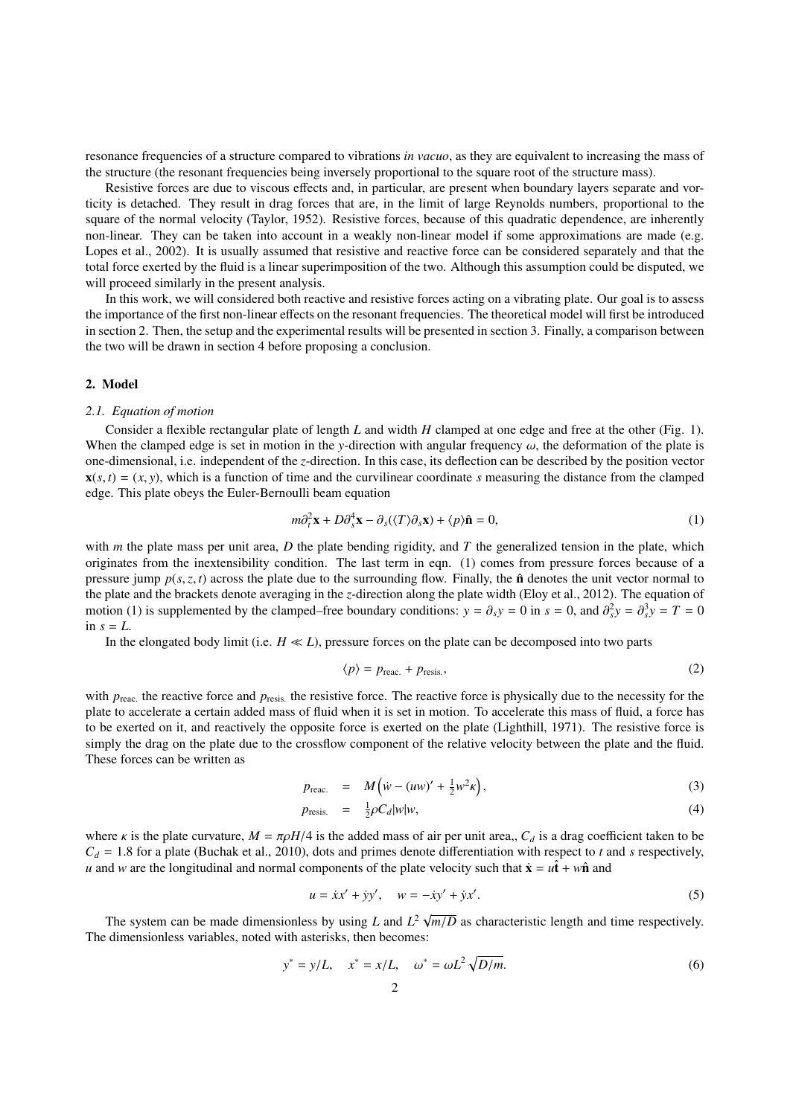resonance frequencies of a structure compared to vibrations *in vacuo*, as they are equivalent to increasing the mass of the structure (the resonant frequencies being inversely proportional to the square root of the structure mass).

Resistive forces are due to viscous effects and, in particular, are present when boundary layers separate and vorticity is detached. They result in drag forces that are, in the limit of large Reynolds numbers, proportional to the square of the normal velocity (Taylor, 1952). Resistive forces, because of this quadratic dependence, are inherently non-linear. They can be taken into account in a weakly non-linear model if some approximations are made (e.g. Lopes et al., 2002). It is usually assumed that resistive and reactive force can be considered separately and that the total force exerted by the fluid is a linear superimposition of the two. Although this assumption could be disputed, we will proceed similarly in the present analysis.

In this work, we will considered both reactive and resistive forces acting on a vibrating plate. Our goal is to assess the importance of the first non-linear effects on the resonant frequencies. The theoretical model will first be introduced in section 2. Then, the setup and the experimental results will be presented in section 3. Finally, a comparison between the two will be drawn in section 4 before proposing a conclusion.

#### 2. Model

#### *2.1. Equation of motion*

Consider a flexible rectangular plate of length *L* and width *H* clamped at one edge and free at the other (Fig. 1). When the clamped edge is set in motion in the *y*-direction with angular frequency  $\omega$ , the deformation of the plate is one-dimensional, i.e. independent of the *z*-direction. In this case, its deflection can be described by the position vector  $\mathbf{x}(s,t) = (x, y)$ , which is a function of time and the curvilinear coordinate *s* measuring the distance from the clamped edge. This plate obeys the Euler-Bernoulli beam equation

$$
m\partial_t^2 \mathbf{x} + D\partial_s^4 \mathbf{x} - \partial_s(\langle T \rangle \partial_s \mathbf{x}) + \langle p \rangle \hat{\mathbf{n}} = 0,
$$
\n(1)

with *m* the plate mass per unit area, *D* the plate bending rigidity, and *T* the generalized tension in the plate, which originates from the inextensibility condition. The last term in eqn. (1) comes from pressure forces because of a pressure jump  $p(s, z, t)$  across the plate due to the surrounding flow. Finally, the  $\hat{\bf{n}}$  denotes the unit vector normal to the plate and the brackets denote averaging in the *z*-direction along the plate width (Eloy et al., 2012). The equation of motion (1) is supplemented by the clamped–free boundary conditions:  $y = \partial_s y = 0$  in  $s = 0$ , and  $\partial_s^2 y = \partial_s^3 y = T = 0$ in  $s = L$ .

In the elongated body limit (i.e.  $H \ll L$ ), pressure forces on the plate can be decomposed into two parts

$$
\langle p \rangle = p_{\text{reac.}} + p_{\text{resis.}},\tag{2}
$$

with  $p_{\text{reac}}$ , the reactive force and  $p_{\text{resis}}$ , the resistive force. The reactive force is physically due to the necessity for the plate to accelerate a cordinated mass of fluid a force has plate to accelerate a certain added mass of fluid when it is set in motion. To accelerate this mass of fluid, a force has to be exerted on it, and reactively the opposite force is exerted on the plate (Lighthill, 1971). The resistive force is simply the drag on the plate due to the crossflow component of the relative velocity between the plate and the fluid. These forces can be written as

$$
p_{\text{reac.}} = M \left( \dot{w} - (uw)' + \frac{1}{2} w^2 \kappa \right), \tag{3}
$$

$$
p_{\text{resis.}} = \frac{1}{2}\rho C_d |w| w, \tag{4}
$$

where *κ* is the plate curvature,  $M = \pi \rho H/4$  is the added mass of air per unit area,,  $C_d$  is a drag coefficient taken to be  $C_d = 1.8$  for a plate (Buchak et al., 2010), dots and primes denote differentiation with respect to *t* and *s* respectively, *u* and *w* are the longitudinal and normal components of the plate velocity such that  $\dot{\mathbf{x}} = u\hat{\mathbf{t}} + w\hat{\mathbf{n}}$  and

$$
u = \dot{x}x' + \dot{y}y', \quad w = -\dot{x}y' + \dot{y}x'.
$$
 (5)

The system can be made dimensionless by using *L* and  $L^2 \sqrt{ }$ *<sup>m</sup>*/*<sup>D</sup>* as characteristic length and time respectively. The dimensionless variables, noted with asterisks, then becomes:

$$
y^* = y/L, \quad x^* = x/L, \quad \omega^* = \omega L^2 \sqrt{D/m}.
$$
 (6)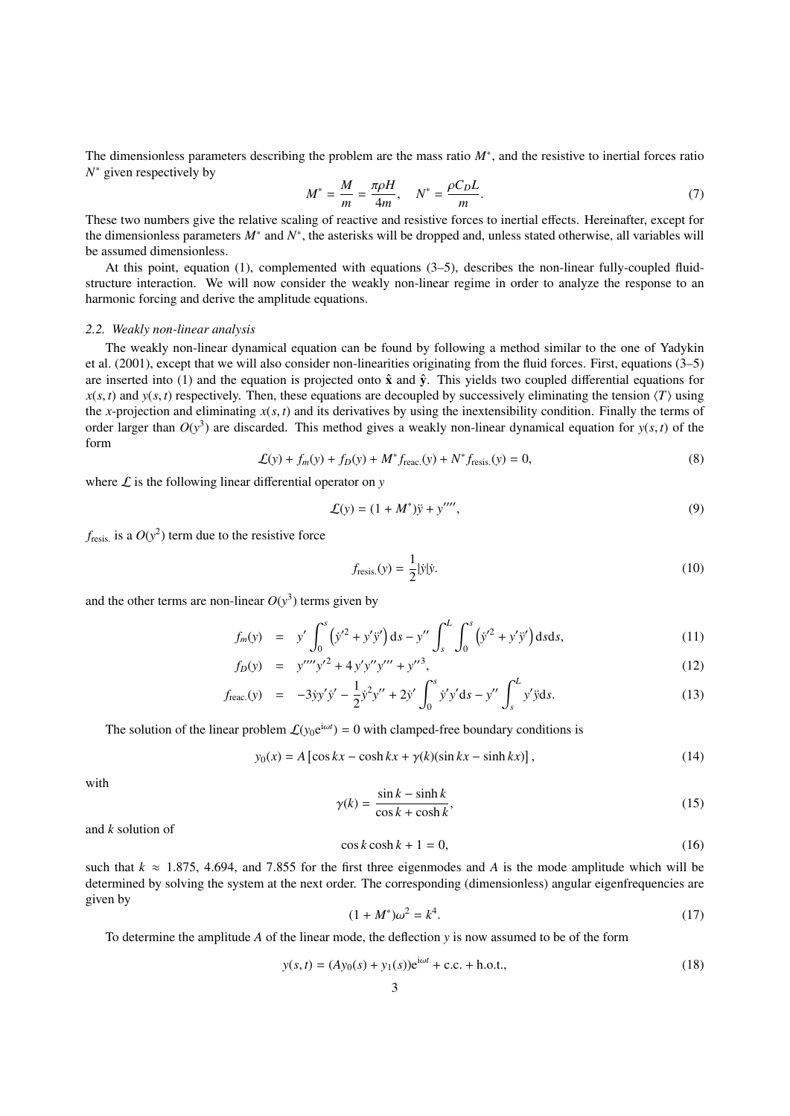The dimensionless parameters describing the problem are the mass ratio  $M^*$ , and the resistive to inertial forces ratio *N* <sup>∗</sup> given respectively by

$$
M^* = \frac{M}{m} = \frac{\pi \rho H}{4m}, \quad N^* = \frac{\rho C_D L}{m}.
$$
\n<sup>(7)</sup>

These two numbers give the relative scaling of reactive and resistive forces to inertial effects. Hereinafter, except for the dimensionless parameters  $M^*$  and  $N^*$ , the asterisks will be dropped and, unless stated otherwise, all variables will be assumed dimensionless.

At this point, equation (1), complemented with equations (3–5), describes the non-linear fully-coupled fluidstructure interaction. We will now consider the weakly non-linear regime in order to analyze the response to an harmonic forcing and derive the amplitude equations.

### *2.2. Weakly non-linear analysis*

The weakly non-linear dynamical equation can be found by following a method similar to the one of Yadykin et al. (2001), except that we will also consider non-linearities originating from the fluid forces. First, equations (3–5) are inserted into (1) and the equation is projected onto  $\hat{x}$  and  $\hat{y}$ . This yields two coupled differential equations for  $x(s, t)$  and  $y(s, t)$  respectively. Then, these equations are decoupled by successively eliminating the tension  $\langle T \rangle$  using the *x*-projection and eliminating  $x(s, t)$  and its derivatives by using the inextensibility condition. Finally the terms of order larger than  $O(y^3)$  are discarded. This method gives a weakly non-linear dynamical equation for  $y(s, t)$  of the form

$$
\mathcal{L}(y) + f_m(y) + f_D(y) + M^* f_{\text{reac.}}(y) + N^* f_{\text{resis.}}(y) = 0,
$$
\n(8)

where  $\mathcal L$  is the following linear differential operator on  $\gamma$ 

$$
\mathcal{L}(y) = (1 + M^*)\ddot{y} + y''''',
$$
\n(9)

 $f_{\text{resis.}}$  is a  $O(y^2)$  term due to the resistive force

$$
f_{\text{resis.}}(y) = \frac{1}{2} |\dot{y}| \dot{y}.\tag{10}
$$

and the other terms are non-linear  $O(y^3)$  terms given by

$$
f_m(y) = y' \int_0^s (y'^2 + y'y') ds - y'' \int_s^L \int_0^s (y'^2 + y'y') ds ds,
$$
 (11)

$$
f_D(y) = y^{\prime \prime \prime \prime} y^{\prime 2} + 4 y^{\prime} y^{\prime \prime \prime} + y^{\prime \prime 3}, \tag{12}
$$

$$
f_{\text{reac.}}(y) = -3yy'y' - \frac{1}{2}y^2y'' + 2y' \int_0^s y'y'ds - y'' \int_s^L y'yds. \tag{13}
$$

The solution of the linear problem  $\mathcal{L}(y_0 e^{i\omega t}) = 0$  with clamped-free boundary conditions is

$$
y_0(x) = A \left[ \cos kx - \cosh kx + \gamma(k)(\sin kx - \sinh kx) \right],
$$
 (14)

with

$$
\gamma(k) = \frac{\sin k - \sinh k}{\cos k + \cosh k},\tag{15}
$$

and *k* solution of

$$
\cos k \cosh k + 1 = 0,\tag{16}
$$

such that  $k \approx 1.875$ , 4.694, and 7.855 for the first three eigenmodes and *A* is the mode amplitude which will be determined by solving the system at the next order. The corresponding (dimensionless) appular eigenfrequen determined by solving the system at the next order. The corresponding (dimensionless) angular eigenfrequencies are given by

$$
(1 + M^*)\omega^2 = k^4.
$$
 (17)

To determine the amplitude *A* of the linear mode, the deflection *y* is now assumed to be of the form

$$
y(s,t) = (Ay_0(s) + y_1(s))e^{i\omega t} + c.c. + h.o.t.,
$$
\n(18)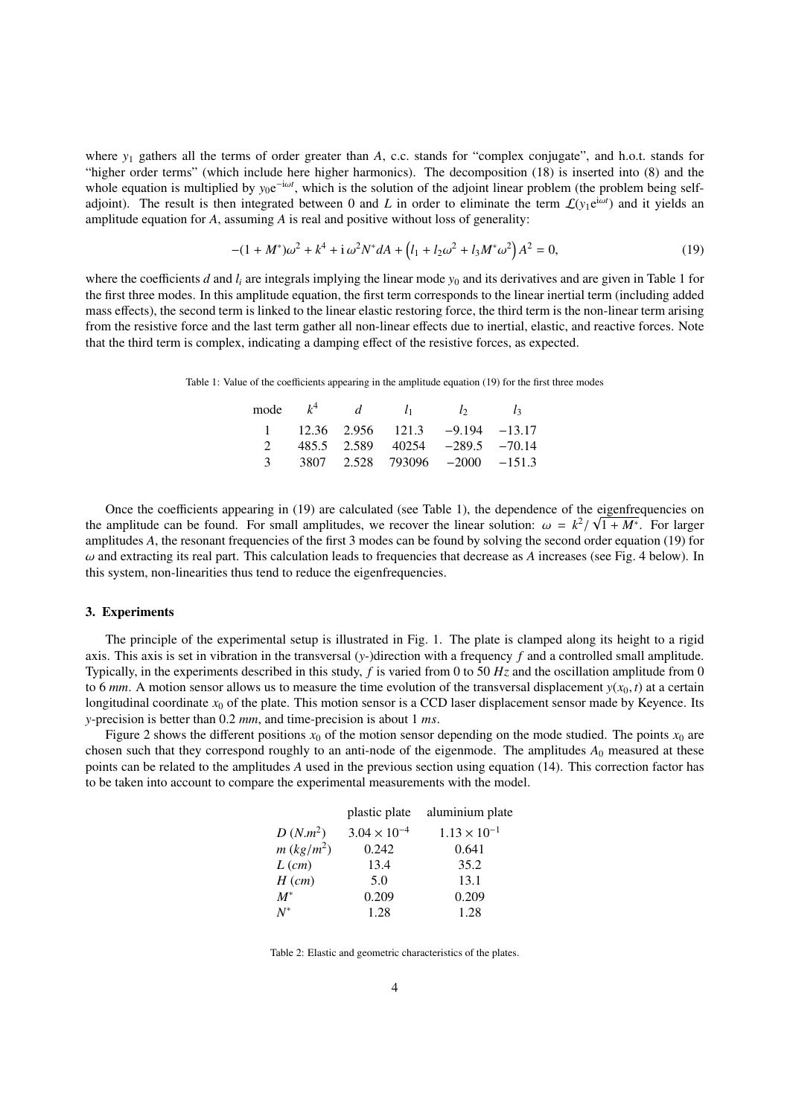where *y<sub>1</sub>* gathers all the terms of order greater than *A*, c.c. stands for "complex conjugate", and h.o.t. stands for "higher order terms" (which include here higher harmonics). The decomposition (18) is inserted into (8) and the whole equation is multiplied by  $y_0e^{-i\omega t}$ , which is the solution of the adjoint linear problem (the problem being selfadjoint). The result is then integrated between 0 and *L* in order to eliminate the term  $\mathcal{L}(y_1e^{i\omega t})$  and it yields an amplitude equation for *A*, assuming *A* is real and positive without loss of generality:

$$
-(1+M^*)\omega^2 + k^4 + i\,\omega^2 N^* dA + \left(l_1 + l_2\omega^2 + l_3M^*\omega^2\right)A^2 = 0,\tag{19}
$$

where the coefficients  $d$  and  $l_i$  are integrals implying the linear mode  $y_0$  and its derivatives and are given in Table 1 for the first three modes. In this amplitude equation, the first term corresponds to the linear inertial term (including added mass effects), the second term is linked to the linear elastic restoring force, the third term is the non-linear term arising from the resistive force and the last term gather all non-linear effects due to inertial, elastic, and reactive forces. Note that the third term is complex, indicating a damping effect of the resistive forces, as expected.

Table 1: Value of the coefficients appearing in the amplitude equation (19) for the first three modes

|             |  | mode $k^4$ d $l_1$ $l_2$ $l_3$                     |  |
|-------------|--|----------------------------------------------------|--|
|             |  | $1 \t 12.36 \t 2.956 \t 121.3 \t -9.194 \t -13.17$ |  |
| $2^{\circ}$ |  | $485.5$ $2.589$ $40254$ $-289.5$ $-70.14$          |  |
|             |  | 3 3807 2.528 793096 $-2000$ $-151.3$               |  |
|             |  |                                                    |  |

Once the coefficients appearing in  $(19)$  are calculated (see Table 1), the dependence of the eigenfrequencies on the amplitude can be found. For small amplitudes, we recover the linear solution:  $\omega = k^2/\sqrt{1 + M^*}$ . For larger<br>amplitudes 4, the resonant frequencies of the first 3 modes can be found by solving the second order equation amplitudes *A*, the resonant frequencies of the first 3 modes can be found by solving the second order equation (19) for  $\omega$  and extracting its real part. This calculation leads to frequencies that decrease as *A* increases (see Fig. 4 below). In this system, non-linearities thus tend to reduce the eigenfrequencies.

#### 3. Experiments

The principle of the experimental setup is illustrated in Fig. 1. The plate is clamped along its height to a rigid axis. This axis is set in vibration in the transversal (*y*-)direction with a frequency *f* and a controlled small amplitude. Typically, in the experiments described in this study, *f* is varied from 0 to 50 *Hz* and the oscillation amplitude from 0 to 6 *mm*. A motion sensor allows us to measure the time evolution of the transversal displacement  $y(x_0, t)$  at a certain longitudinal coordinate  $x_0$  of the plate. This motion sensor is a CCD laser displacement sensor made by Keyence. Its *<sup>y</sup>*-precision is better than 0.<sup>2</sup> *mm*, and time-precision is about 1 *ms*.

Figure 2 shows the different positions  $x_0$  of the motion sensor depending on the mode studied. The points  $x_0$  are chosen such that they correspond roughly to an anti-node of the eigenmode. The amplitudes  $A_0$  measured at these points can be related to the amplitudes *A* used in the previous section using equation (14). This correction factor has to be taken into account to compare the experimental measurements with the model.

|              | plastic plate         | aluminium plate       |
|--------------|-----------------------|-----------------------|
| $D(N.m^2)$   | $3.04 \times 10^{-4}$ | $1.13 \times 10^{-1}$ |
| $m (kg/m^2)$ | 0.242                 | 0.641                 |
| $L$ (cm)     | 13.4                  | 35.2                  |
| $H$ (cm)     | 5.0                   | 13.1                  |
| $M^*$        | 0.209                 | 0.209                 |
| $N^*$        | 1.28                  | 1.28                  |
|              |                       |                       |

Table 2: Elastic and geometric characteristics of the plates.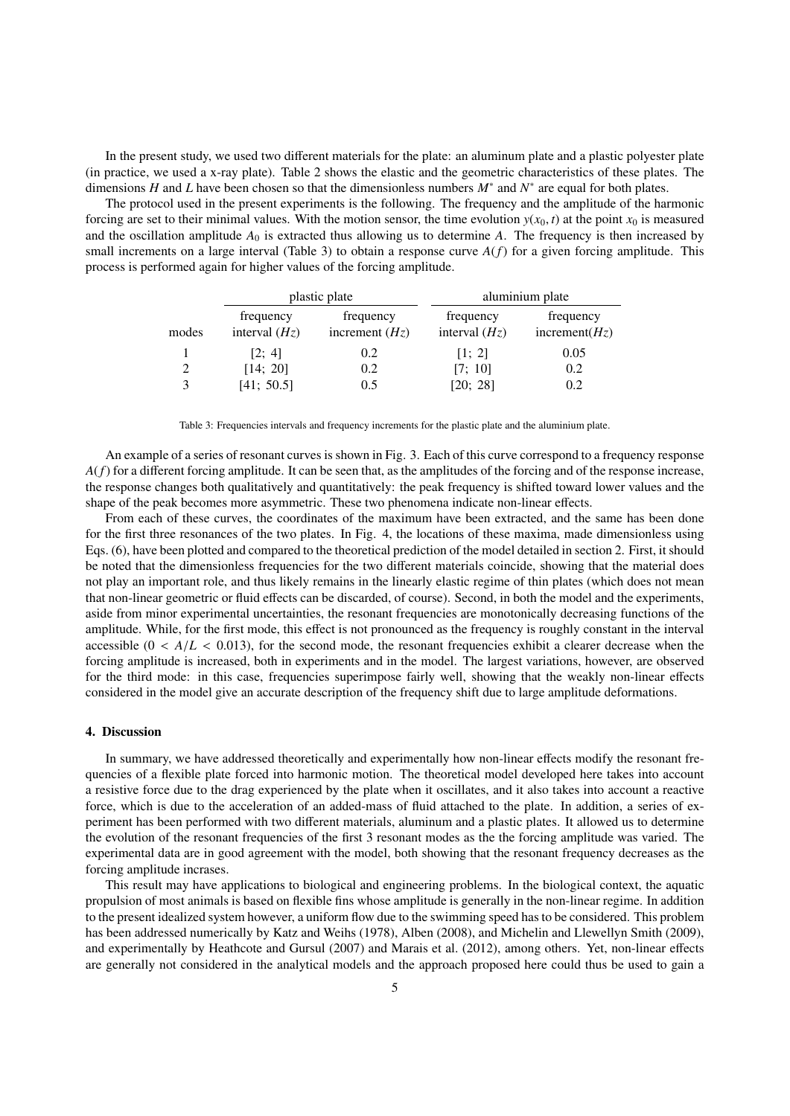In the present study, we used two different materials for the plate: an aluminum plate and a plastic polyester plate (in practice, we used a x-ray plate). Table 2 shows the elastic and the geometric characteristics of these plates. The dimensions *H* and *L* have been chosen so that the dimensionless numbers  $M^*$  and  $N^*$  are equal for both plates.

The protocol used in the present experiments is the following. The frequency and the amplitude of the harmonic forcing are set to their minimal values. With the motion sensor, the time evolution  $y(x_0, t)$  at the point  $x_0$  is measured and the oscillation amplitude  $A_0$  is extracted thus allowing us to determine  $A$ . The frequency is then increased by small increments on a large interval (Table 3) to obtain a response curve *A*(*f*) for a given forcing amplitude. This process is performed again for higher values of the forcing amplitude.

|       |                              | plastic plate                 | aluminium plate              |                                |  |
|-------|------------------------------|-------------------------------|------------------------------|--------------------------------|--|
| modes | frequency<br>interval $(Hz)$ | frequency<br>increment $(Hz)$ | frequency<br>interval $(Hz)$ | frequency<br>increment( $Hz$ ) |  |
|       | [2; 4]                       | 0.2                           | [1; 2]                       | 0.05                           |  |
| 2     | [14; 20]                     | 0.2                           | [7; 10]                      | 0.2                            |  |
| 3     | [41; 50.5]                   | 0.5                           | [20; 28]                     | 0.2                            |  |

Table 3: Frequencies intervals and frequency increments for the plastic plate and the aluminium plate.

An example of a series of resonant curves is shown in Fig. 3. Each of this curve correspond to a frequency response  $A(f)$  for a different forcing amplitude. It can be seen that, as the amplitudes of the forcing and of the response increase, the response changes both qualitatively and quantitatively: the peak frequency is shifted toward lower values and the shape of the peak becomes more asymmetric. These two phenomena indicate non-linear effects.

From each of these curves, the coordinates of the maximum have been extracted, and the same has been done for the first three resonances of the two plates. In Fig. 4, the locations of these maxima, made dimensionless using Eqs. (6), have been plotted and compared to the theoretical prediction of the model detailed in section 2. First, it should be noted that the dimensionless frequencies for the two different materials coincide, showing that the material does not play an important role, and thus likely remains in the linearly elastic regime of thin plates (which does not mean that non-linear geometric or fluid effects can be discarded, of course). Second, in both the model and the experiments, aside from minor experimental uncertainties, the resonant frequencies are monotonically decreasing functions of the amplitude. While, for the first mode, this effect is not pronounced as the frequency is roughly constant in the interval accessible  $(0 < A/L < 0.013)$ , for the second mode, the resonant frequencies exhibit a clearer decrease when the forcing amplitude is increased, both in experiments and in the model. The largest variations, however, are observed for the third mode: in this case, frequencies superimpose fairly well, showing that the weakly non-linear effects considered in the model give an accurate description of the frequency shift due to large amplitude deformations.

## 4. Discussion

In summary, we have addressed theoretically and experimentally how non-linear effects modify the resonant frequencies of a flexible plate forced into harmonic motion. The theoretical model developed here takes into account a resistive force due to the drag experienced by the plate when it oscillates, and it also takes into account a reactive force, which is due to the acceleration of an added-mass of fluid attached to the plate. In addition, a series of experiment has been performed with two different materials, aluminum and a plastic plates. It allowed us to determine the evolution of the resonant frequencies of the first 3 resonant modes as the the forcing amplitude was varied. The experimental data are in good agreement with the model, both showing that the resonant frequency decreases as the forcing amplitude incrases.

This result may have applications to biological and engineering problems. In the biological context, the aquatic propulsion of most animals is based on flexible fins whose amplitude is generally in the non-linear regime. In addition to the present idealized system however, a uniform flow due to the swimming speed has to be considered. This problem has been addressed numerically by Katz and Weihs (1978), Alben (2008), and Michelin and Llewellyn Smith (2009), and experimentally by Heathcote and Gursul (2007) and Marais et al. (2012), among others. Yet, non-linear effects are generally not considered in the analytical models and the approach proposed here could thus be used to gain a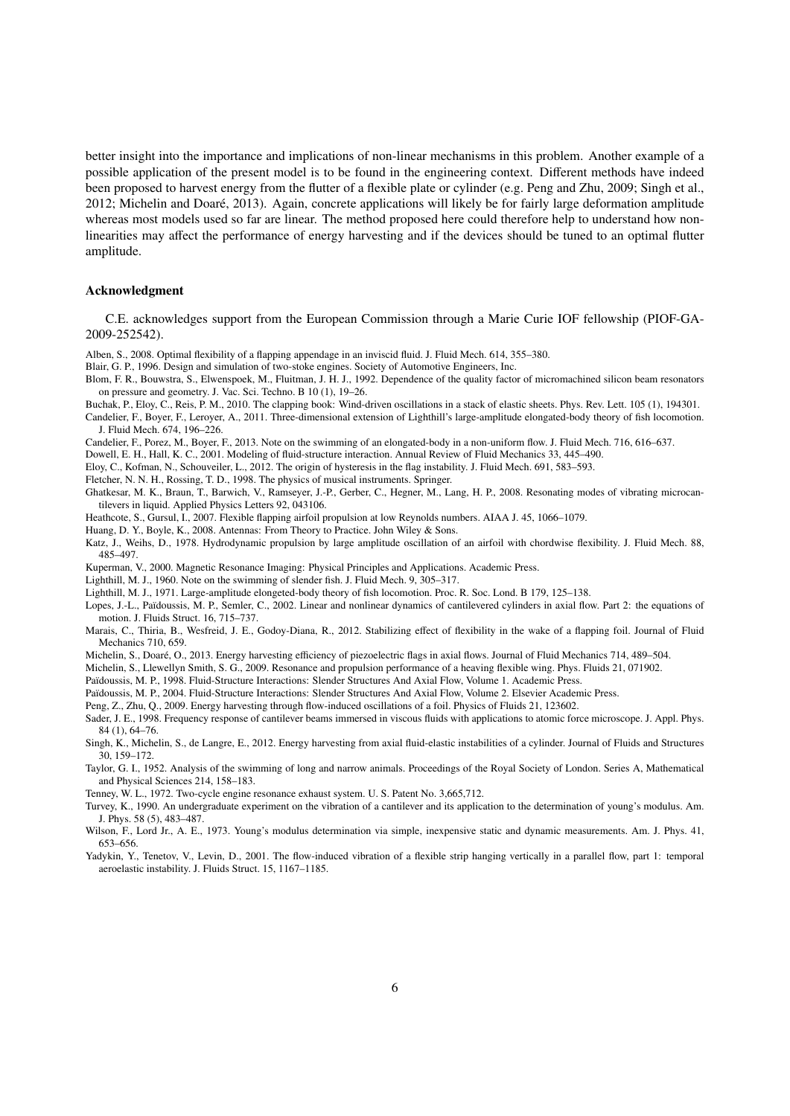better insight into the importance and implications of non-linear mechanisms in this problem. Another example of a possible application of the present model is to be found in the engineering context. Different methods have indeed been proposed to harvest energy from the flutter of a flexible plate or cylinder (e.g. Peng and Zhu, 2009; Singh et al., 2012; Michelin and Doare, 2013). Again, concrete applications will likely be for fairly large deformation amplitude ´ whereas most models used so far are linear. The method proposed here could therefore help to understand how nonlinearities may affect the performance of energy harvesting and if the devices should be tuned to an optimal flutter amplitude.

#### Acknowledgment

C.E. acknowledges support from the European Commission through a Marie Curie IOF fellowship (PIOF-GA-2009-252542).

Alben, S., 2008. Optimal flexibility of a flapping appendage in an inviscid fluid. J. Fluid Mech. 614, 355–380.

Blair, G. P., 1996. Design and simulation of two-stoke engines. Society of Automotive Engineers, Inc.

Blom, F. R., Bouwstra, S., Elwenspoek, M., Fluitman, J. H. J., 1992. Dependence of the quality factor of micromachined silicon beam resonators on pressure and geometry. J. Vac. Sci. Techno. B 10 (1), 19–26.

Buchak, P., Eloy, C., Reis, P. M., 2010. The clapping book: Wind-driven oscillations in a stack of elastic sheets. Phys. Rev. Lett. 105 (1), 194301.

Candelier, F., Boyer, F., Leroyer, A., 2011. Three-dimensional extension of Lighthill's large-amplitude elongated-body theory of fish locomotion. J. Fluid Mech. 674, 196–226.

Candelier, F., Porez, M., Boyer, F., 2013. Note on the swimming of an elongated-body in a non-uniform flow. J. Fluid Mech. 716, 616–637.

Dowell, E. H., Hall, K. C., 2001. Modeling of fluid-structure interaction. Annual Review of Fluid Mechanics 33, 445–490.

Eloy, C., Kofman, N., Schouveiler, L., 2012. The origin of hysteresis in the flag instability. J. Fluid Mech. 691, 583–593.

Fletcher, N. N. H., Rossing, T. D., 1998. The physics of musical instruments. Springer.

Ghatkesar, M. K., Braun, T., Barwich, V., Ramseyer, J.-P., Gerber, C., Hegner, M., Lang, H. P., 2008. Resonating modes of vibrating microcantilevers in liquid. Applied Physics Letters 92, 043106.

Heathcote, S., Gursul, I., 2007. Flexible flapping airfoil propulsion at low Reynolds numbers. AIAA J. 45, 1066–1079.

Huang, D. Y., Boyle, K., 2008. Antennas: From Theory to Practice. John Wiley & Sons.

Katz, J., Weihs, D., 1978. Hydrodynamic propulsion by large amplitude oscillation of an airfoil with chordwise flexibility. J. Fluid Mech. 88, 485–497.

Kuperman, V., 2000. Magnetic Resonance Imaging: Physical Principles and Applications. Academic Press.

Lighthill, M. J., 1960. Note on the swimming of slender fish. J. Fluid Mech. 9, 305–317.

Lighthill, M. J., 1971. Large-amplitude elongeted-body theory of fish locomotion. Proc. R. Soc. Lond. B 179, 125–138.

Lopes, J.-L., Païdoussis, M. P., Semler, C., 2002. Linear and nonlinear dynamics of cantilevered cylinders in axial flow. Part 2: the equations of motion. J. Fluids Struct. 16, 715–737.

Marais, C., Thiria, B., Wesfreid, J. E., Godoy-Diana, R., 2012. Stabilizing effect of flexibility in the wake of a flapping foil. Journal of Fluid Mechanics 710, 659.

Michelin, S., Doaré, O., 2013. Energy harvesting efficiency of piezoelectric flags in axial flows. Journal of Fluid Mechanics 714, 489-504.

Michelin, S., Llewellyn Smith, S. G., 2009. Resonance and propulsion performance of a heaving flexible wing. Phys. Fluids 21, 071902.

Païdoussis, M. P., 1998. Fluid-Structure Interactions: Slender Structures And Axial Flow, Volume 1. Academic Press.

Païdoussis, M. P., 2004. Fluid-Structure Interactions: Slender Structures And Axial Flow, Volume 2. Elsevier Academic Press.

Peng, Z., Zhu, Q., 2009. Energy harvesting through flow-induced oscillations of a foil. Physics of Fluids 21, 123602.

Sader, J. E., 1998. Frequency response of cantilever beams immersed in viscous fluids with applications to atomic force microscope. J. Appl. Phys. 84 (1), 64–76.

Singh, K., Michelin, S., de Langre, E., 2012. Energy harvesting from axial fluid-elastic instabilities of a cylinder. Journal of Fluids and Structures 30, 159–172.

Taylor, G. I., 1952. Analysis of the swimming of long and narrow animals. Proceedings of the Royal Society of London. Series A, Mathematical and Physical Sciences 214, 158–183.

Tenney, W. L., 1972. Two-cycle engine resonance exhaust system. U. S. Patent No. 3,665,712.

Turvey, K., 1990. An undergraduate experiment on the vibration of a cantilever and its application to the determination of young's modulus. Am. J. Phys. 58 (5), 483–487.

Wilson, F., Lord Jr., A. E., 1973. Young's modulus determination via simple, inexpensive static and dynamic measurements. Am. J. Phys. 41, 653–656.

Yadykin, Y., Tenetov, V., Levin, D., 2001. The flow-induced vibration of a flexible strip hanging vertically in a parallel flow, part 1: temporal aeroelastic instability. J. Fluids Struct. 15, 1167–1185.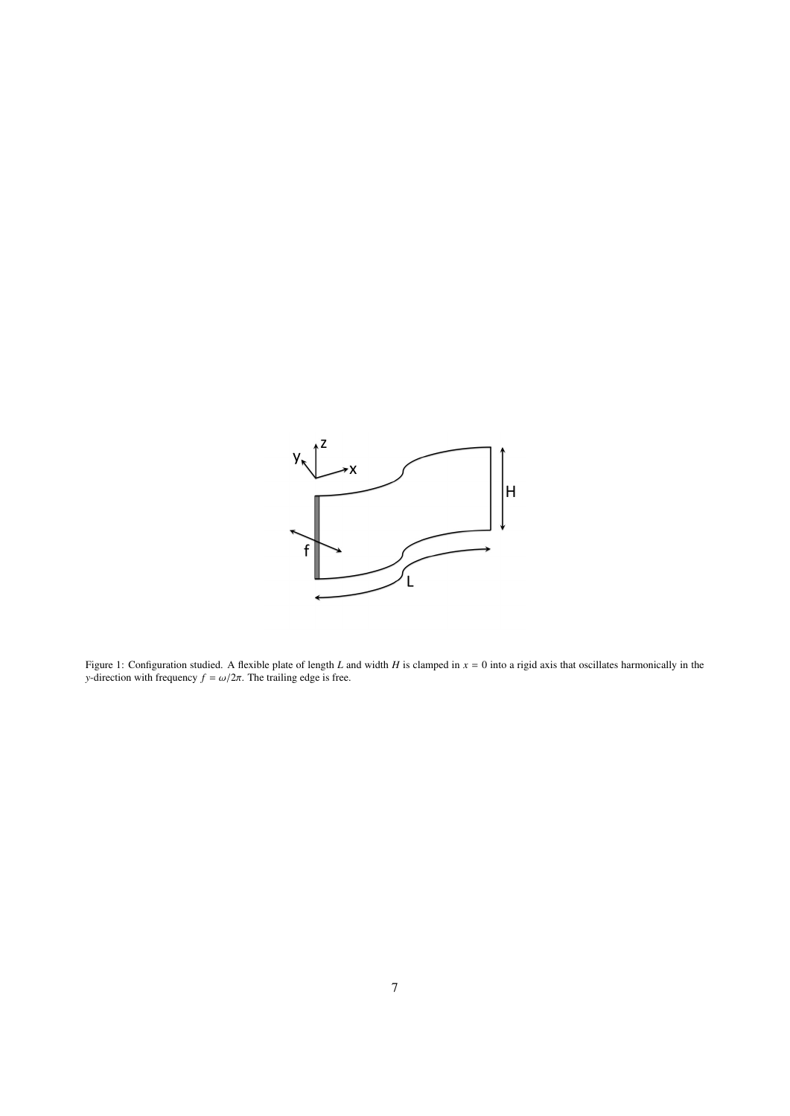

Figure 1: Configuration studied. A flexible plate of length *L* and width *H* is clamped in *x* = 0 into a rigid axis that oscillates harmonically in the *y*-direction with frequency  $f = \omega/2\pi$ . The trailing edge is free.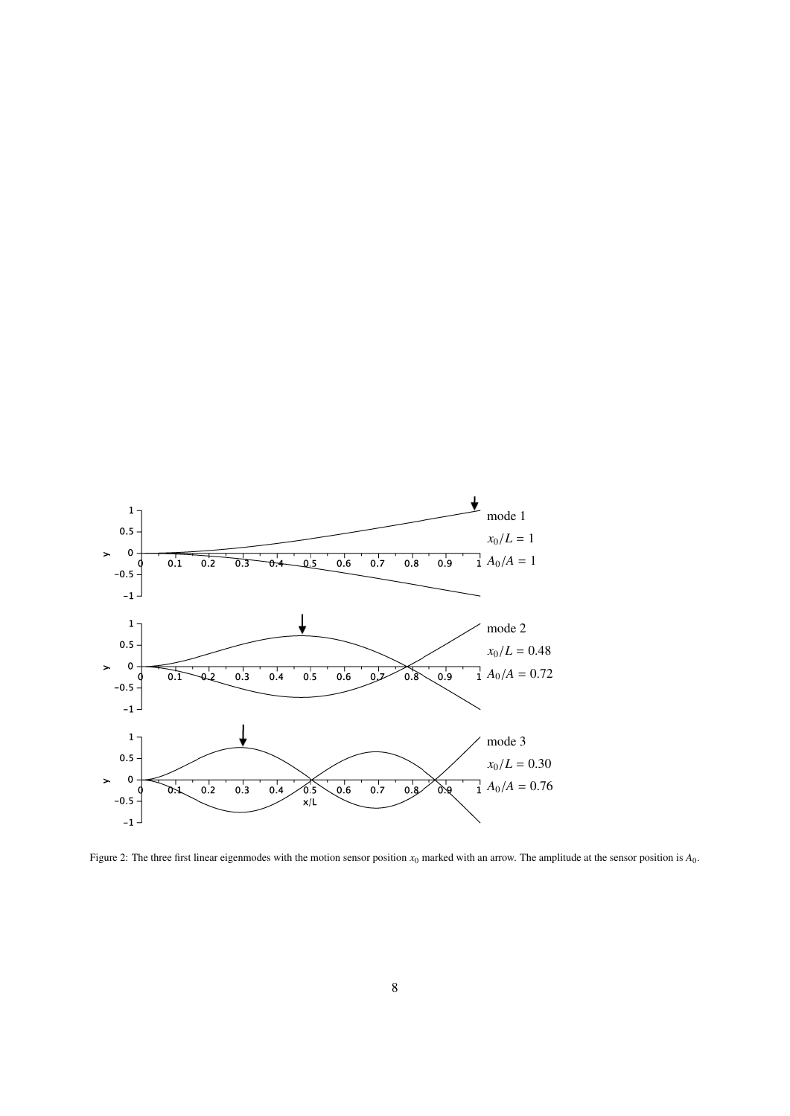

Figure 2: The three first linear eigenmodes with the motion sensor position *x*<sup>0</sup> marked with an arrow. The amplitude at the sensor position is *A*0.